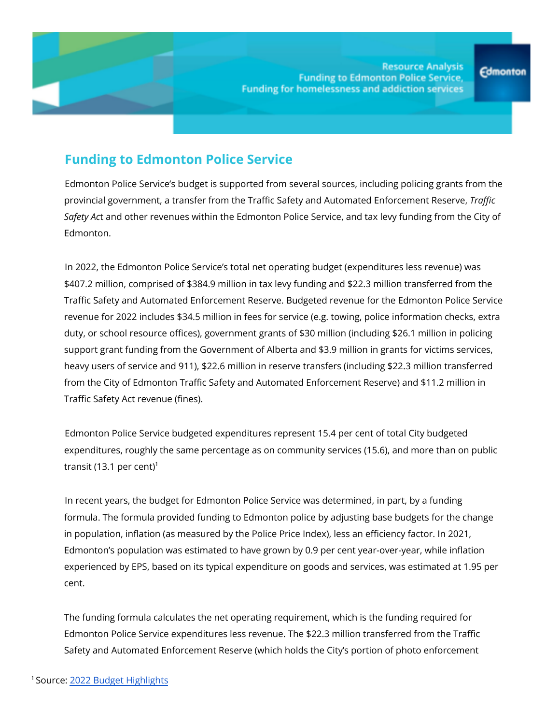# **Funding to Edmonton Police Service**

Edmonton Police Service's budget is supported from several sources, including policing grants from the provincial government, a transfer from the Traffic Safety and Automated Enforcement Reserve, *Traffic Safety Ac*t and other revenues within the Edmonton Police Service, and tax levy funding from the City of Edmonton.

In 2022, the Edmonton Police Service's total net operating budget (expenditures less revenue) was \$407.2 million, comprised of \$384.9 million in tax levy funding and \$22.3 million transferred from the Traffic Safety and Automated Enforcement Reserve. Budgeted revenue for the Edmonton Police Service revenue for 2022 includes \$34.5 million in fees for service (e.g. towing, police information checks, extra duty, or school resource offices), government grants of \$30 million (including \$26.1 million in policing support grant funding from the Government of Alberta and \$3.9 million in grants for victims services, heavy users of service and 911), \$22.6 million in reserve transfers (including \$22.3 million transferred from the City of Edmonton Traffic Safety and Automated Enforcement Reserve) and \$11.2 million in Traffic Safety Act revenue (fines).

Edmonton Police Service budgeted expenditures represent 15.4 per cent of total City budgeted expenditures, roughly the same percentage as on community services (15.6), and more than on public transit (13.1 per cent) $^1$ 

In recent years, the budget for Edmonton Police Service was determined, in part, by a funding formula. The formula provided funding to Edmonton police by adjusting base budgets for the change in population, inflation (as measured by the Police Price Index), less an efficiency factor. In 2021, Edmonton's population was estimated to have grown by 0.9 per cent year-over-year, while inflation experienced by EPS, based on its typical expenditure on goods and services, was estimated at 1.95 per cent.

The funding formula calculates the net operating requirement, which is the funding required for Edmonton Police Service expenditures less revenue. The \$22.3 million transferred from the Traffic Safety and Automated Enforcement Reserve (which holds the City's portion of photo enforcement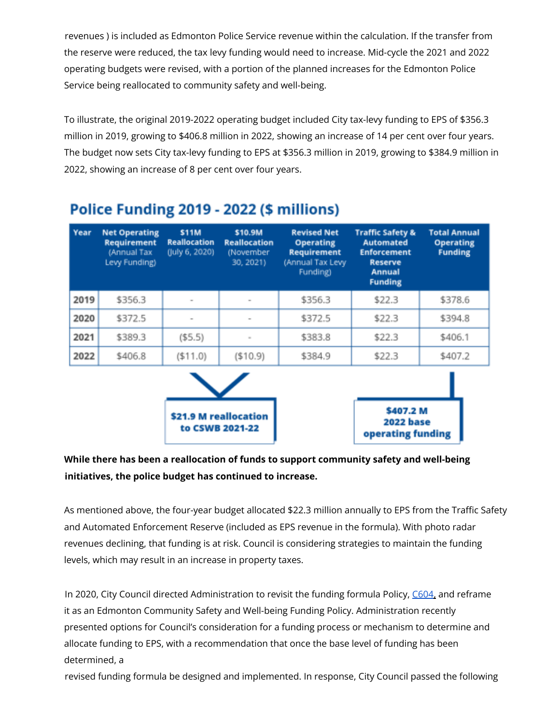revenues ) is included as Edmonton Police Service revenue within the calculation. If the transfer from the reserve were reduced, the tax levy funding would need to increase. Mid-cycle the 2021 and 2022 operating budgets were revised, with a portion of the planned increases for the Edmonton Police Service being reallocated to community safety and well-being.

To illustrate, the original 2019-2022 operating budget included City tax-levy funding to EPS of \$356.3 million in 2019, growing to \$406.8 million in 2022, showing an increase of 14 per cent over four years. The budget now sets City tax-levy funding to EPS at \$356.3 million in 2019, growing to \$384.9 million in 2022, showing an increase of 8 per cent over four years.

| Year | <b>Net Operating</b><br><b>Requirement</b><br>(Annual Tax<br>Levy Funding) | <b>S11M</b><br><b>Reallocation</b><br>(July 6, 2020) | \$10.9M<br><b>Reallocation</b><br>(November<br>30, 2021) | <b>Revised Net</b><br><b>Operating</b><br><b>Requirement</b><br>(Annual Tax Levy<br>Funding) | <b>Traffic Safety &amp;</b><br>Automated<br><b>Enforcement</b><br><b>Reserve</b><br><b>Annual</b><br><b>Funding</b> | <b>Total Annual</b><br><b>Operating</b><br><b>Funding</b> |
|------|----------------------------------------------------------------------------|------------------------------------------------------|----------------------------------------------------------|----------------------------------------------------------------------------------------------|---------------------------------------------------------------------------------------------------------------------|-----------------------------------------------------------|
| 2019 | \$356.3                                                                    | ۰                                                    | $\sim$                                                   | \$356.3                                                                                      | \$22.3                                                                                                              | \$378.6                                                   |
| 2020 | \$372.5                                                                    | $\sim$                                               | $\;$                                                     | \$372.5                                                                                      | \$22.3                                                                                                              | \$394.8                                                   |
| 2021 | \$389.3                                                                    | ( \$5.5)                                             | $\sim$                                                   | \$383.8                                                                                      | \$22.3                                                                                                              | \$406.1                                                   |
| 2022 | \$406.8                                                                    | ( \$11.0)                                            | (\$10.9)                                                 | \$384.9                                                                                      | \$22.3                                                                                                              | \$407.2                                                   |

# Police Funding 2019 - 2022 (\$ millions)



| \$407.2 M<br>2022 base |  |
|------------------------|--|
| operating funding      |  |

### **While there has been a reallocation of funds to support community safety and well-being initiatives, the police budget has continued to increase.**

As mentioned above, the four-year budget allocated \$22.3 million annually to EPS from the Traffic Safety and Automated Enforcement Reserve (included as EPS revenue in the formula). With photo radar revenues declining, that funding is at risk. Council is considering strategies to maintain the funding levels, which may result in an increase in property taxes.

In 2020, City Council directed Administration to revisit the funding formula Policy, C604, and reframe it as an Edmonton Community Safety and Well-being Funding Policy. Administration recently presented options for Council's consideration for a funding process or mechanism to determine and allocate funding to EPS, with a recommendation that once the base level of funding has been determined, a

revised funding formula be designed and implemented. In response, City Council passed the following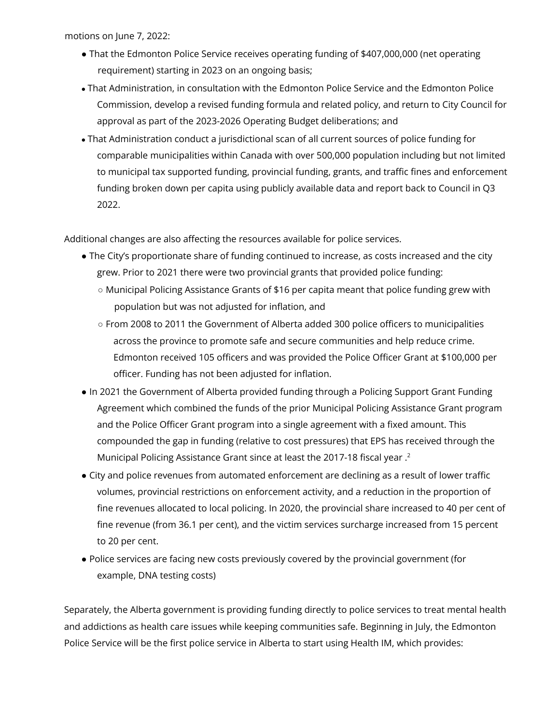motions on June 7, 2022:

- That the Edmonton Police Service receives operating funding of \$407,000,000 (net operating requirement) starting in 2023 on an ongoing basis;
- That Administration, in consultation with the Edmonton Police Service and the Edmonton Police Commission, develop a revised funding formula and related policy, and return to City Council for approval as part of the 2023-2026 Operating Budget deliberations; and
- That Administration conduct a jurisdictional scan of all current sources of police funding for comparable municipalities within Canada with over 500,000 population including but not limited to municipal tax supported funding, provincial funding, grants, and traffic fines and enforcement funding broken down per capita using publicly available data and report back to Council in Q3 2022.

Additional changes are also affecting the resources available for police services.

- The City's proportionate share of funding continued to increase, as costs increased and the city grew. Prior to 2021 there were two provincial grants that provided police funding:
	- Municipal Policing Assistance Grants of \$16 per capita meant that police funding grew with population but was not adjusted for inflation, and
	- From 2008 to 2011 the Government of Alberta added 300 police officers to municipalities across the province to promote safe and secure communities and help reduce crime. Edmonton received 105 officers and was provided the Police Officer Grant at \$100,000 per officer. Funding has not been adjusted for inflation.
- In 2021 the Government of Alberta provided funding through a Policing Support Grant Funding Agreement which combined the funds of the prior Municipal Policing Assistance Grant program and the Police Officer Grant program into a single agreement with a fixed amount. This compounded the gap in funding (relative to cost pressures) that EPS has received through the Municipal Policing Assistance Grant since at least the 2017-18 fiscal year . 2
- City and police revenues from automated enforcement are declining as a result of lower traffic volumes, provincial restrictions on enforcement activity, and a reduction in the proportion of fine revenues allocated to local policing. In 2020, the provincial share increased to 40 per cent of fine revenue (from 36.1 per cent), and the victim services surcharge increased from 15 percent to 20 per cent.
- Police services are facing new costs previously covered by the provincial government (for example, DNA testing costs)

Separately, the Alberta government is providing funding directly to police services to treat mental health and addictions as health care issues while keeping communities safe. Beginning in July, the Edmonton Police Service will be the first police service in Alberta to start using Health IM, which provides: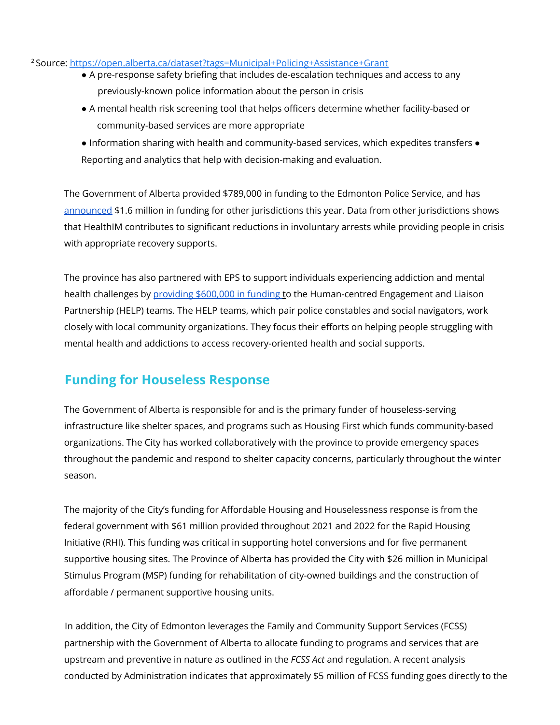#### <sup>2</sup> Source: https://open.alberta.ca/dataset?tags=Municipal+Policing+Assistance+Grant

- A pre-response safety briefing that includes de-escalation techniques and access to any previously-known police information about the person in crisis
- A mental health risk screening tool that helps officers determine whether facility-based or community-based services are more appropriate
- Information sharing with health and community-based services, which expedites transfers Reporting and analytics that help with decision-making and evaluation.

The Government of Alberta provided \$789,000 in funding to the Edmonton Police Service, and has announced \$1.6 million in funding for other jurisdictions this year. Data from other jurisdictions shows that HealthIM contributes to significant reductions in involuntary arrests while providing people in crisis with appropriate recovery supports.

The province has also partnered with EPS to support individuals experiencing addiction and mental health challenges by providing \$600,000 in funding to the Human-centred Engagement and Liaison Partnership (HELP) teams. The HELP teams, which pair police constables and social navigators, work closely with local community organizations. They focus their efforts on helping people struggling with mental health and addictions to access recovery-oriented health and social supports.

### **Funding for Houseless Response**

The Government of Alberta is responsible for and is the primary funder of houseless-serving infrastructure like shelter spaces, and programs such as Housing First which funds community-based organizations. The City has worked collaboratively with the province to provide emergency spaces throughout the pandemic and respond to shelter capacity concerns, particularly throughout the winter season.

The majority of the City's funding for Affordable Housing and Houselessness response is from the federal government with \$61 million provided throughout 2021 and 2022 for the Rapid Housing Initiative (RHI). This funding was critical in supporting hotel conversions and for five permanent supportive housing sites. The Province of Alberta has provided the City with \$26 million in Municipal Stimulus Program (MSP) funding for rehabilitation of city-owned buildings and the construction of affordable / permanent supportive housing units.

In addition, the City of Edmonton leverages the Family and Community Support Services (FCSS) partnership with the Government of Alberta to allocate funding to programs and services that are upstream and preventive in nature as outlined in the *FCSS Act* and regulation. A recent analysis conducted by Administration indicates that approximately \$5 million of FCSS funding goes directly to the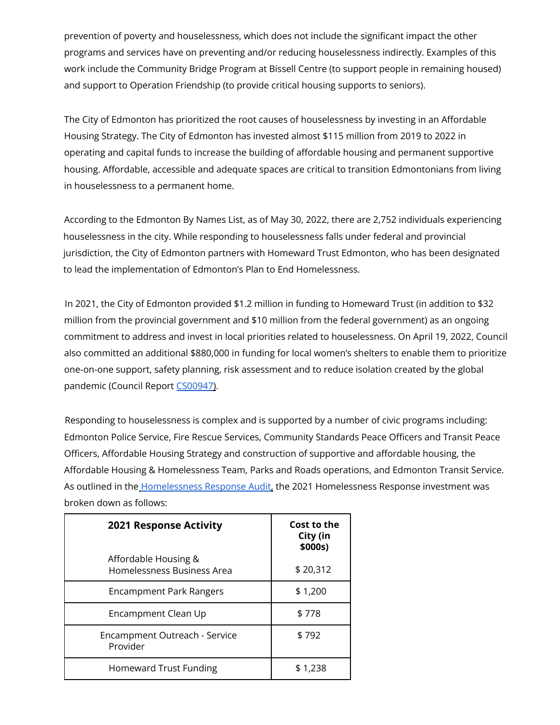prevention of poverty and houselessness, which does not include the significant impact the other programs and services have on preventing and/or reducing houselessness indirectly. Examples of this work include the Community Bridge Program at Bissell Centre (to support people in remaining housed) and support to Operation Friendship (to provide critical housing supports to seniors).

The City of Edmonton has prioritized the root causes of houselessness by investing in an Affordable Housing Strategy. The City of Edmonton has invested almost \$115 million from 2019 to 2022 in operating and capital funds to increase the building of affordable housing and permanent supportive housing. Affordable, accessible and adequate spaces are critical to transition Edmontonians from living in houselessness to a permanent home.

According to the Edmonton By Names List, as of May 30, 2022, there are 2,752 individuals experiencing houselessness in the city. While responding to houselessness falls under federal and provincial jurisdiction, the City of Edmonton partners with Homeward Trust Edmonton, who has been designated to lead the implementation of Edmonton's Plan to End Homelessness.

In 2021, the City of Edmonton provided \$1.2 million in funding to Homeward Trust (in addition to \$32 million from the provincial government and \$10 million from the federal government) as an ongoing commitment to address and invest in local priorities related to houselessness. On April 19, 2022, Council also committed an additional \$880,000 in funding for local women's shelters to enable them to prioritize one-on-one support, safety planning, risk assessment and to reduce isolation created by the global pandemic (Council Report CS00947).

Responding to houselessness is complex and is supported by a number of civic programs including: Edmonton Police Service, Fire Rescue Services, Community Standards Peace Officers and Transit Peace Officers, Affordable Housing Strategy and construction of supportive and affordable housing, the Affordable Housing & Homelessness Team, Parks and Roads operations, and Edmonton Transit Service. As outlined in the Homelessness Response Audit, the 2021 Homelessness Response investment was broken down as follows:

| <b>2021 Response Activity</b>                      | Cost to the<br>City (in<br>\$000s) |  |
|----------------------------------------------------|------------------------------------|--|
| Affordable Housing &<br>Homelessness Business Area | \$20,312                           |  |
| <b>Encampment Park Rangers</b>                     | \$1,200                            |  |
| Encampment Clean Up                                | \$778                              |  |
| Encampment Outreach - Service<br>Provider          | \$792                              |  |
| <b>Homeward Trust Funding</b>                      | \$1,238                            |  |